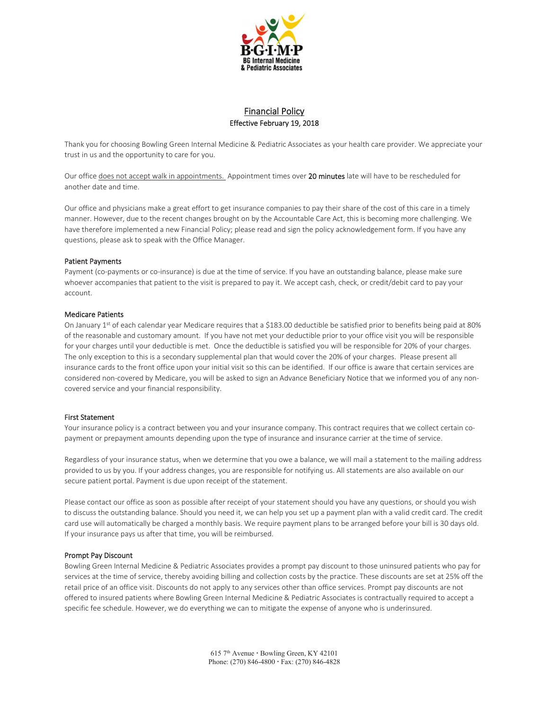

# Financial Policy Effective February 19, 2018

Thank you for choosing Bowling Green Internal Medicine & Pediatric Associates as your health care provider. We appreciate your trust in us and the opportunity to care for you.

Our office does not accept walk in appointments. Appointment times over 20 minutes late will have to be rescheduled for another date and time.

Our office and physicians make a great effort to get insurance companies to pay their share of the cost of this care in a timely manner. However, due to the recent changes brought on by the Accountable Care Act, this is becoming more challenging. We have therefore implemented a new Financial Policy; please read and sign the policy acknowledgement form. If you have any questions, please ask to speak with the Office Manager.

## Patient Payments

Payment (co-payments or co-insurance) is due at the time of service. If you have an outstanding balance, please make sure whoever accompanies that patient to the visit is prepared to pay it. We accept cash, check, or credit/debit card to pay your account.

### Medicare Patients

On January 1st of each calendar year Medicare requires that a \$183.00 deductible be satisfied prior to benefits being paid at 80% of the reasonable and customary amount. If you have not met your deductible prior to your office visit you will be responsible for your charges until your deductible is met. Once the deductible is satisfied you will be responsible for 20% of your charges. The only exception to this is a secondary supplemental plan that would cover the 20% of your charges. Please present all insurance cards to the front office upon your initial visit so this can be identified. If our office is aware that certain services are considered non-covered by Medicare, you will be asked to sign an Advance Beneficiary Notice that we informed you of any noncovered service and your financial responsibility.

### First Statement

Your insurance policy is a contract between you and your insurance company. This contract requires that we collect certain copayment or prepayment amounts depending upon the type of insurance and insurance carrier at the time of service.

Regardless of your insurance status, when we determine that you owe a balance, we will mail a statement to the mailing address provided to us by you. If your address changes, you are responsible for notifying us. All statements are also available on our secure patient portal. Payment is due upon receipt of the statement.

Please contact our office as soon as possible after receipt of your statement should you have any questions, or should you wish to discuss the outstanding balance. Should you need it, we can help you set up a payment plan with a valid credit card. The credit card use will automatically be charged a monthly basis. We require payment plans to be arranged before your bill is 30 days old. If your insurance pays us after that time, you will be reimbursed.

### Prompt Pay Discount

Bowling Green Internal Medicine & Pediatric Associates provides a prompt pay discount to those uninsured patients who pay for services at the time of service, thereby avoiding billing and collection costs by the practice. These discounts are set at 25% off the retail price of an office visit. Discounts do not apply to any services other than office services. Prompt pay discounts are not offered to insured patients where Bowling Green Internal Medicine & Pediatric Associates is contractually required to accept a specific fee schedule. However, we do everything we can to mitigate the expense of anyone who is underinsured.